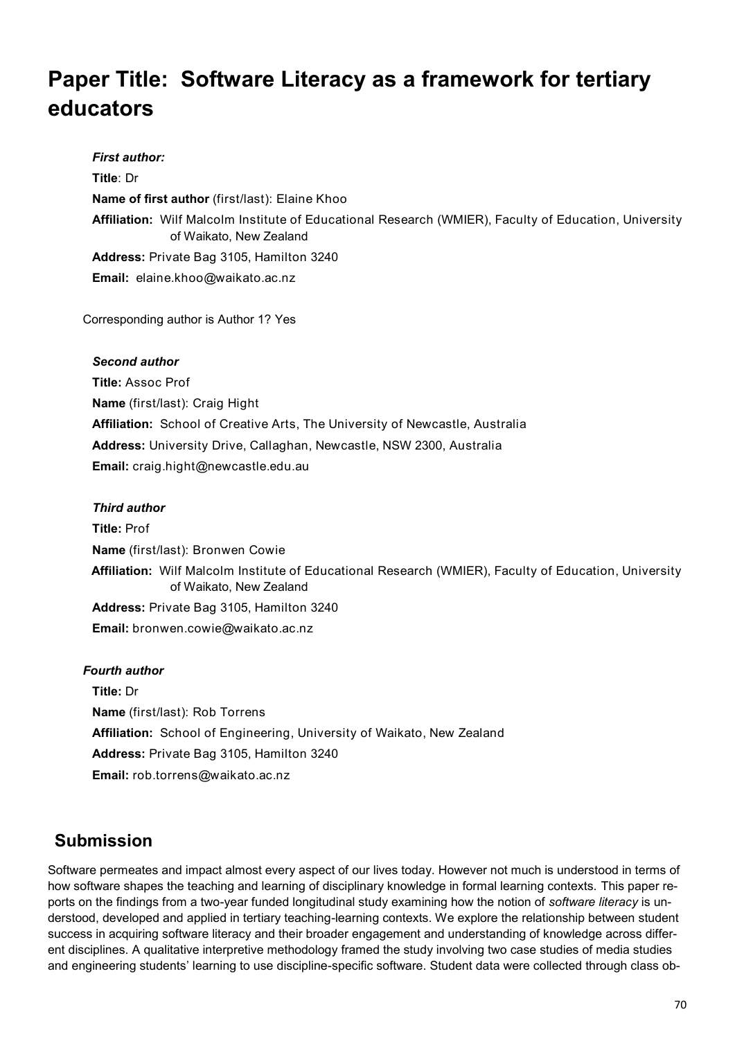# **Paper Title: Software Literacy as a framework for tertiary educators**

*First author:* **Title**: Dr **Name of first author** (first/last): Elaine Khoo **Affiliation:** Wilf Malcolm Institute of Educational Research (WMIER), Faculty of Education, University of Waikato, New Zealand **Address:** Private Bag 3105, Hamilton 3240 **Email:** elaine.khoo@waikato.ac.nz

Corresponding author is Author 1? Yes

### *Second author*

**Title:** Assoc Prof **Name** (first/last): Craig Hight **Affiliation:** School of Creative Arts, The University of Newcastle, Australia **Address:** University Drive, Callaghan, Newcastle, NSW 2300, Australia **Email:** craig.hight@newcastle.edu.au

### *Third author*

**Title:** Prof **Name** (first/last): Bronwen Cowie **Affiliation:** Wilf Malcolm Institute of Educational Research (WMIER), Faculty of Education, University of Waikato, New Zealand **Address:** Private Bag 3105, Hamilton 3240 **Email:** bronwen.cowie@waikato.ac.nz

#### *Fourth author*

**Title:** Dr **Name** (first/last): Rob Torrens **Affiliation:** School of Engineering, University of Waikato, New Zealand **Address:** Private Bag 3105, Hamilton 3240 **Email:** rob.torrens@waikato.ac.nz

### **Submission**

Software permeates and impact almost every aspect of our lives today. However not much is understood in terms of how software shapes the teaching and learning of disciplinary knowledge in formal learning contexts. This paper reports on the findings from a two-year funded longitudinal study examining how the notion of *software literacy* is understood, developed and applied in tertiary teaching-learning contexts. We explore the relationship between student success in acquiring software literacy and their broader engagement and understanding of knowledge across different disciplines. A qualitative interpretive methodology framed the study involving two case studies of media studies and engineering students' learning to use discipline-specific software. Student data were collected through class ob-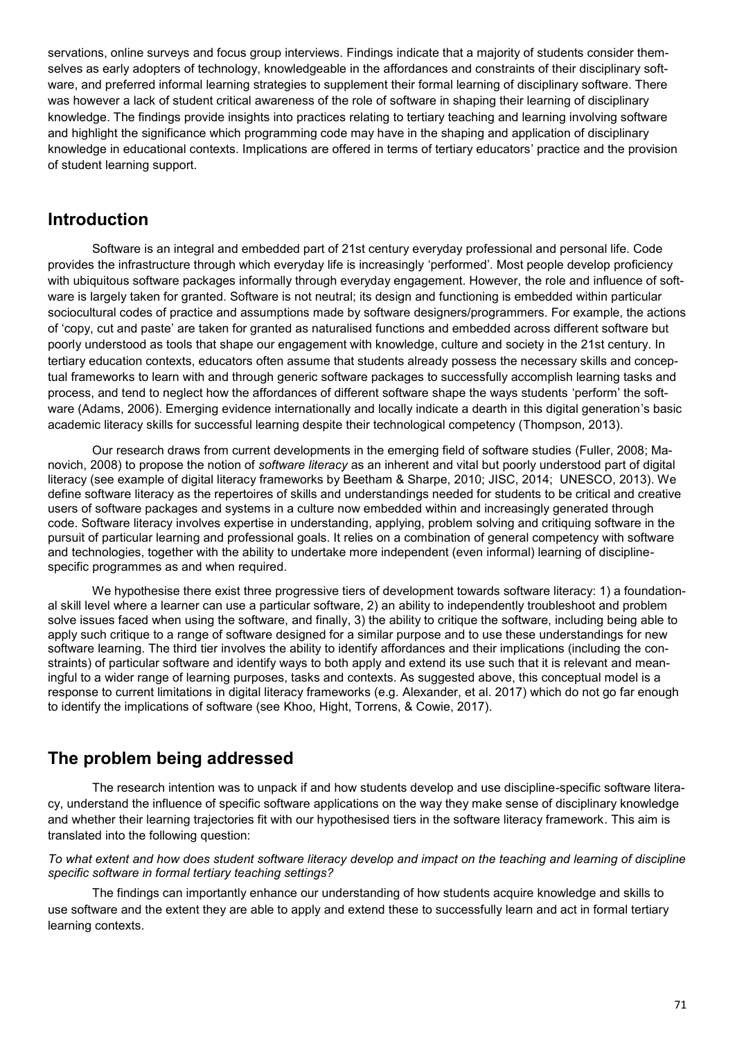servations, online surveys and focus group interviews. Findings indicate that a majority of students consider themselves as early adopters of technology, knowledgeable in the affordances and constraints of their disciplinary software, and preferred informal learning strategies to supplement their formal learning of disciplinary software. There was however a lack of student critical awareness of the role of software in shaping their learning of disciplinary knowledge. The findings provide insights into practices relating to tertiary teaching and learning involving software and highlight the significance which programming code may have in the shaping and application of disciplinary knowledge in educational contexts. Implications are offered in terms of tertiary educators' practice and the provision of student learning support.

### **Introduction**

Software is an integral and embedded part of 21st century everyday professional and personal life. Code provides the infrastructure through which everyday life is increasingly 'performed'. Most people develop proficiency with ubiquitous software packages informally through everyday engagement. However, the role and influence of software is largely taken for granted. Software is not neutral; its design and functioning is embedded within particular sociocultural codes of practice and assumptions made by software designers/programmers. For example, the actions of 'copy, cut and paste' are taken for granted as naturalised functions and embedded across different software but poorly understood as tools that shape our engagement with knowledge, culture and society in the 21st century. In tertiary education contexts, educators often assume that students already possess the necessary skills and conceptual frameworks to learn with and through generic software packages to successfully accomplish learning tasks and process, and tend to neglect how the affordances of different software shape the ways students 'perform' the software (Adams, 2006). Emerging evidence internationally and locally indicate a dearth in this digital generation's basic academic literacy skills for successful learning despite their technological competency (Thompson, 2013).

Our research draws from current developments in the emerging field of software studies (Fuller, 2008; Manovich, 2008) to propose the notion of *software literacy* as an inherent and vital but poorly understood part of digital literacy (see example of digital literacy frameworks by Beetham & Sharpe, 2010; JISC, 2014; UNESCO, 2013). We define software literacy as the repertoires of skills and understandings needed for students to be critical and creative users of software packages and systems in a culture now embedded within and increasingly generated through code. Software literacy involves expertise in understanding, applying, problem solving and critiquing software in the pursuit of particular learning and professional goals. It relies on a combination of general competency with software and technologies, together with the ability to undertake more independent (even informal) learning of disciplinespecific programmes as and when required.

We hypothesise there exist three progressive tiers of development towards software literacy: 1) a foundational skill level where a learner can use a particular software, 2) an ability to independently troubleshoot and problem solve issues faced when using the software, and finally, 3) the ability to critique the software, including being able to apply such critique to a range of software designed for a similar purpose and to use these understandings for new software learning. The third tier involves the ability to identify affordances and their implications (including the constraints) of particular software and identify ways to both apply and extend its use such that it is relevant and meaningful to a wider range of learning purposes, tasks and contexts. As suggested above, this conceptual model is a response to current limitations in digital literacy frameworks (e.g. Alexander, et al. 2017) which do not go far enough to identify the implications of software (see Khoo, Hight, Torrens, & Cowie, 2017).

# **The problem being addressed**

The research intention was to unpack if and how students develop and use discipline-specific software literacy, understand the influence of specific software applications on the way they make sense of disciplinary knowledge and whether their learning trajectories fit with our hypothesised tiers in the software literacy framework. This aim is translated into the following question:

*To what extent and how does student software literacy develop and impact on the teaching and learning of discipline specific software in formal tertiary teaching settings?*

The findings can importantly enhance our understanding of how students acquire knowledge and skills to use software and the extent they are able to apply and extend these to successfully learn and act in formal tertiary learning contexts.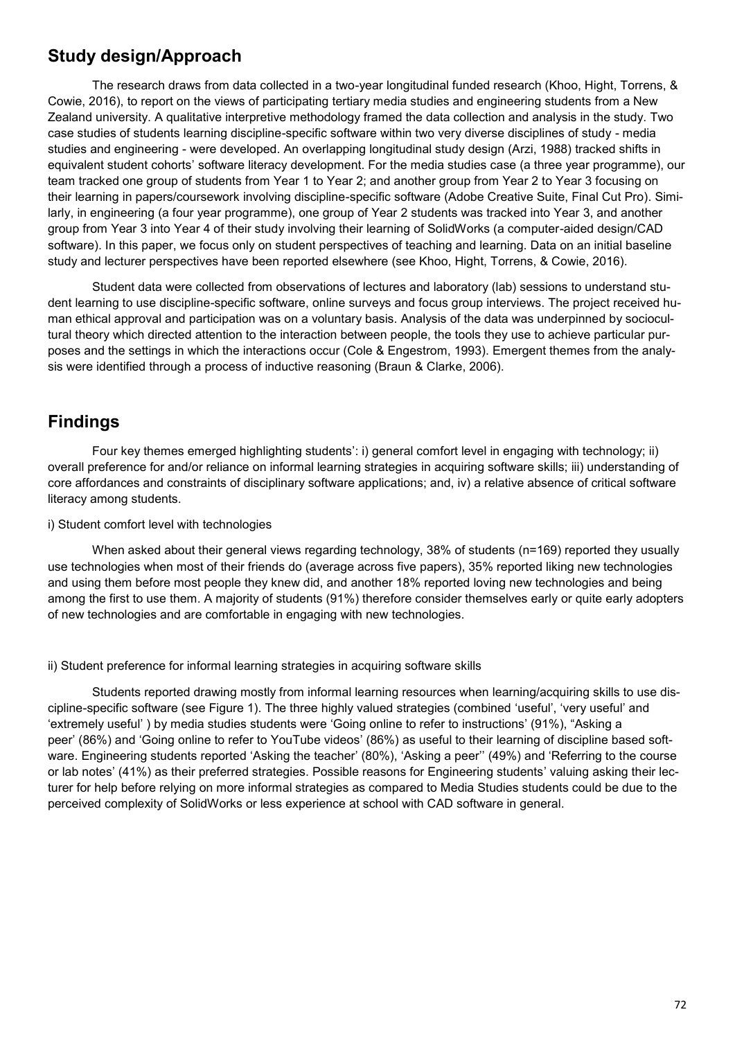## **Study design/Approach**

The research draws from data collected in a two-year longitudinal funded research (Khoo, Hight, Torrens, & Cowie, 2016), to report on the views of participating tertiary media studies and engineering students from a New Zealand university. A qualitative interpretive methodology framed the data collection and analysis in the study. Two case studies of students learning discipline-specific software within two very diverse disciplines of study - media studies and engineering - were developed. An overlapping longitudinal study design (Arzi, 1988) tracked shifts in equivalent student cohorts' software literacy development. For the media studies case (a three year programme), our team tracked one group of students from Year 1 to Year 2; and another group from Year 2 to Year 3 focusing on their learning in papers/coursework involving discipline-specific software (Adobe Creative Suite, Final Cut Pro). Similarly, in engineering (a four year programme), one group of Year 2 students was tracked into Year 3, and another group from Year 3 into Year 4 of their study involving their learning of SolidWorks (a computer-aided design/CAD software). In this paper, we focus only on student perspectives of teaching and learning. Data on an initial baseline study and lecturer perspectives have been reported elsewhere (see Khoo, Hight, Torrens, & Cowie, 2016).

Student data were collected from observations of lectures and laboratory (lab) sessions to understand student learning to use discipline-specific software, online surveys and focus group interviews. The project received human ethical approval and participation was on a voluntary basis. Analysis of the data was underpinned by sociocultural theory which directed attention to the interaction between people, the tools they use to achieve particular purposes and the settings in which the interactions occur (Cole & Engestrom, 1993). Emergent themes from the analysis were identified through a process of inductive reasoning (Braun & Clarke, 2006).

# **Findings**

Four key themes emerged highlighting students': i) general comfort level in engaging with technology; ii) overall preference for and/or reliance on informal learning strategies in acquiring software skills; iii) understanding of core affordances and constraints of disciplinary software applications; and, iv) a relative absence of critical software literacy among students.

#### i) Student comfort level with technologies

When asked about their general views regarding technology, 38% of students (n=169) reported they usually use technologies when most of their friends do (average across five papers), 35% reported liking new technologies and using them before most people they knew did, and another 18% reported loving new technologies and being among the first to use them. A majority of students (91%) therefore consider themselves early or quite early adopters of new technologies and are comfortable in engaging with new technologies.

#### ii) Student preference for informal learning strategies in acquiring software skills

Students reported drawing mostly from informal learning resources when learning/acquiring skills to use discipline-specific software (see Figure 1). The three highly valued strategies (combined 'useful', 'very useful' and 'extremely useful' ) by media studies students were 'Going online to refer to instructions' (91%), "Asking a peer' (86%) and 'Going online to refer to YouTube videos' (86%) as useful to their learning of discipline based software. Engineering students reported 'Asking the teacher' (80%), 'Asking a peer'' (49%) and 'Referring to the course or lab notes' (41%) as their preferred strategies. Possible reasons for Engineering students' valuing asking their lecturer for help before relying on more informal strategies as compared to Media Studies students could be due to the perceived complexity of SolidWorks or less experience at school with CAD software in general.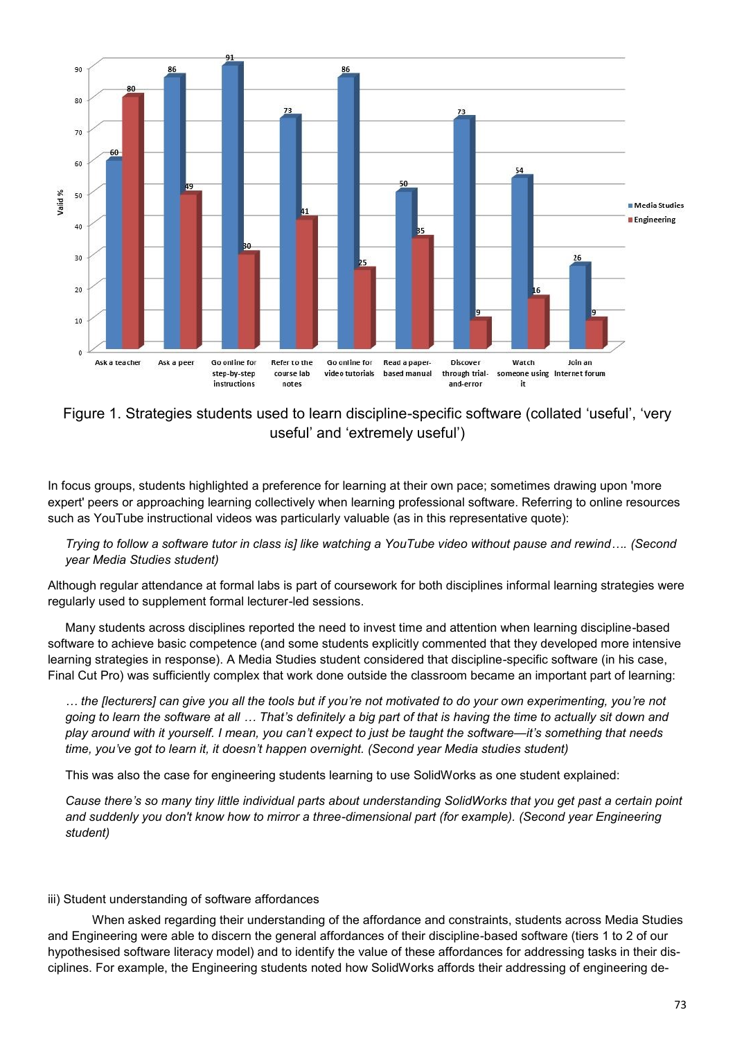

Figure 1. Strategies students used to learn discipline-specific software (collated 'useful', 'very useful' and 'extremely useful')

In focus groups, students highlighted a preference for learning at their own pace; sometimes drawing upon 'more expert' peers or approaching learning collectively when learning professional software. Referring to online resources such as YouTube instructional videos was particularly valuable (as in this representative quote):

*Trying to follow a software tutor in class is] like watching a YouTube video without pause and rewind…. (Second year Media Studies student)*

Although regular attendance at formal labs is part of coursework for both disciplines informal learning strategies were regularly used to supplement formal lecturer-led sessions.

Many students across disciplines reported the need to invest time and attention when learning discipline-based software to achieve basic competence (and some students explicitly commented that they developed more intensive learning strategies in response). A Media Studies student considered that discipline-specific software (in his case, Final Cut Pro) was sufficiently complex that work done outside the classroom became an important part of learning:

*… the [lecturers] can give you all the tools but if you're not motivated to do your own experimenting, you're not going to learn the software at all … That's definitely a big part of that is having the time to actually sit down and play around with it yourself. I mean, you can't expect to just be taught the software—it's something that needs time, you've got to learn it, it doesn't happen overnight. (Second year Media studies student)*

This was also the case for engineering students learning to use SolidWorks as one student explained:

*Cause there's so many tiny little individual parts about understanding SolidWorks that you get past a certain point and suddenly you don't know how to mirror a three-dimensional part (for example). (Second year Engineering student)*

#### iii) Student understanding of software affordances

When asked regarding their understanding of the affordance and constraints, students across Media Studies and Engineering were able to discern the general affordances of their discipline-based software (tiers 1 to 2 of our hypothesised software literacy model) and to identify the value of these affordances for addressing tasks in their disciplines. For example, the Engineering students noted how SolidWorks affords their addressing of engineering de-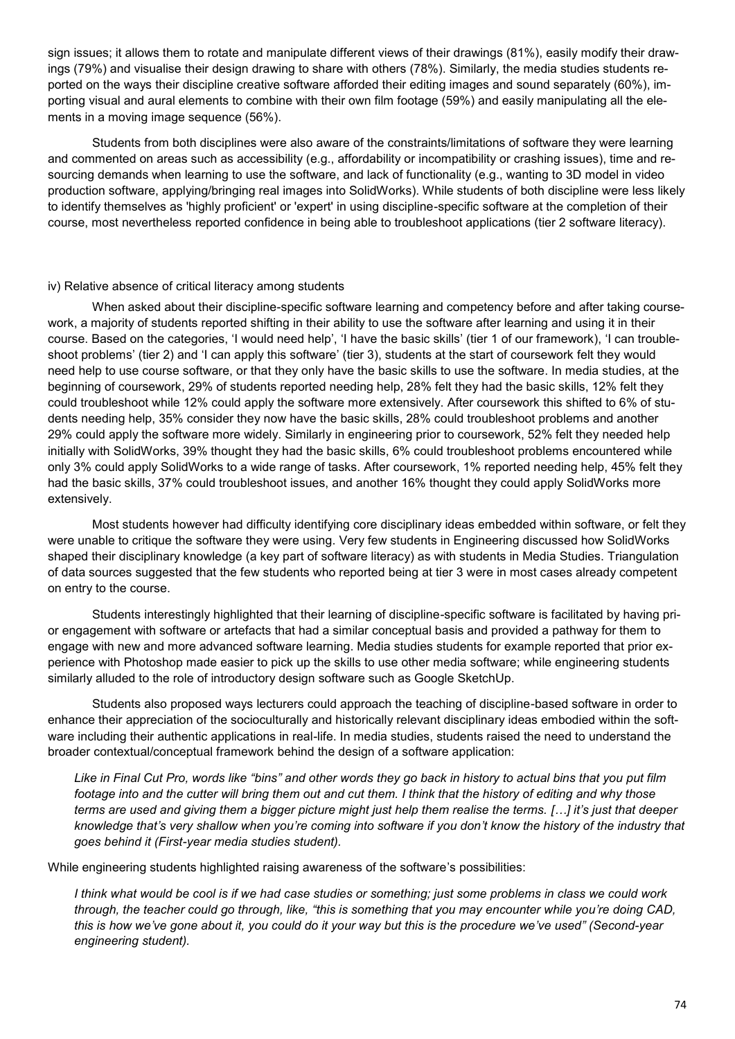sign issues; it allows them to rotate and manipulate different views of their drawings (81%), easily modify their drawings (79%) and visualise their design drawing to share with others (78%). Similarly, the media studies students reported on the ways their discipline creative software afforded their editing images and sound separately (60%), importing visual and aural elements to combine with their own film footage (59%) and easily manipulating all the elements in a moving image sequence (56%).

Students from both disciplines were also aware of the constraints/limitations of software they were learning and commented on areas such as accessibility (e.g., affordability or incompatibility or crashing issues), time and resourcing demands when learning to use the software, and lack of functionality (e.g., wanting to 3D model in video production software, applying/bringing real images into SolidWorks). While students of both discipline were less likely to identify themselves as 'highly proficient' or 'expert' in using discipline-specific software at the completion of their course, most nevertheless reported confidence in being able to troubleshoot applications (tier 2 software literacy).

#### iv) Relative absence of critical literacy among students

When asked about their discipline-specific software learning and competency before and after taking coursework, a majority of students reported shifting in their ability to use the software after learning and using it in their course. Based on the categories, 'I would need help', 'I have the basic skills' (tier 1 of our framework), 'I can troubleshoot problems' (tier 2) and 'I can apply this software' (tier 3), students at the start of coursework felt they would need help to use course software, or that they only have the basic skills to use the software. In media studies, at the beginning of coursework, 29% of students reported needing help, 28% felt they had the basic skills, 12% felt they could troubleshoot while 12% could apply the software more extensively. After coursework this shifted to 6% of students needing help, 35% consider they now have the basic skills, 28% could troubleshoot problems and another 29% could apply the software more widely. Similarly in engineering prior to coursework, 52% felt they needed help initially with SolidWorks, 39% thought they had the basic skills, 6% could troubleshoot problems encountered while only 3% could apply SolidWorks to a wide range of tasks. After coursework, 1% reported needing help, 45% felt they had the basic skills, 37% could troubleshoot issues, and another 16% thought they could apply SolidWorks more extensively.

Most students however had difficulty identifying core disciplinary ideas embedded within software, or felt they were unable to critique the software they were using. Very few students in Engineering discussed how SolidWorks shaped their disciplinary knowledge (a key part of software literacy) as with students in Media Studies. Triangulation of data sources suggested that the few students who reported being at tier 3 were in most cases already competent on entry to the course.

Students interestingly highlighted that their learning of discipline-specific software is facilitated by having prior engagement with software or artefacts that had a similar conceptual basis and provided a pathway for them to engage with new and more advanced software learning. Media studies students for example reported that prior experience with Photoshop made easier to pick up the skills to use other media software; while engineering students similarly alluded to the role of introductory design software such as Google SketchUp.

Students also proposed ways lecturers could approach the teaching of discipline-based software in order to enhance their appreciation of the socioculturally and historically relevant disciplinary ideas embodied within the software including their authentic applications in real-life. In media studies, students raised the need to understand the broader contextual/conceptual framework behind the design of a software application:

*Like in Final Cut Pro, words like "bins" and other words they go back in history to actual bins that you put film footage into and the cutter will bring them out and cut them. I think that the history of editing and why those terms are used and giving them a bigger picture might just help them realise the terms. […] it's just that deeper knowledge that's very shallow when you're coming into software if you don't know the history of the industry that goes behind it (First-year media studies student).*

While engineering students highlighted raising awareness of the software's possibilities:

*I think what would be cool is if we had case studies or something; just some problems in class we could work through, the teacher could go through, like, "this is something that you may encounter while you're doing CAD, this is how we've gone about it, you could do it your way but this is the procedure we've used" (Second-year engineering student).*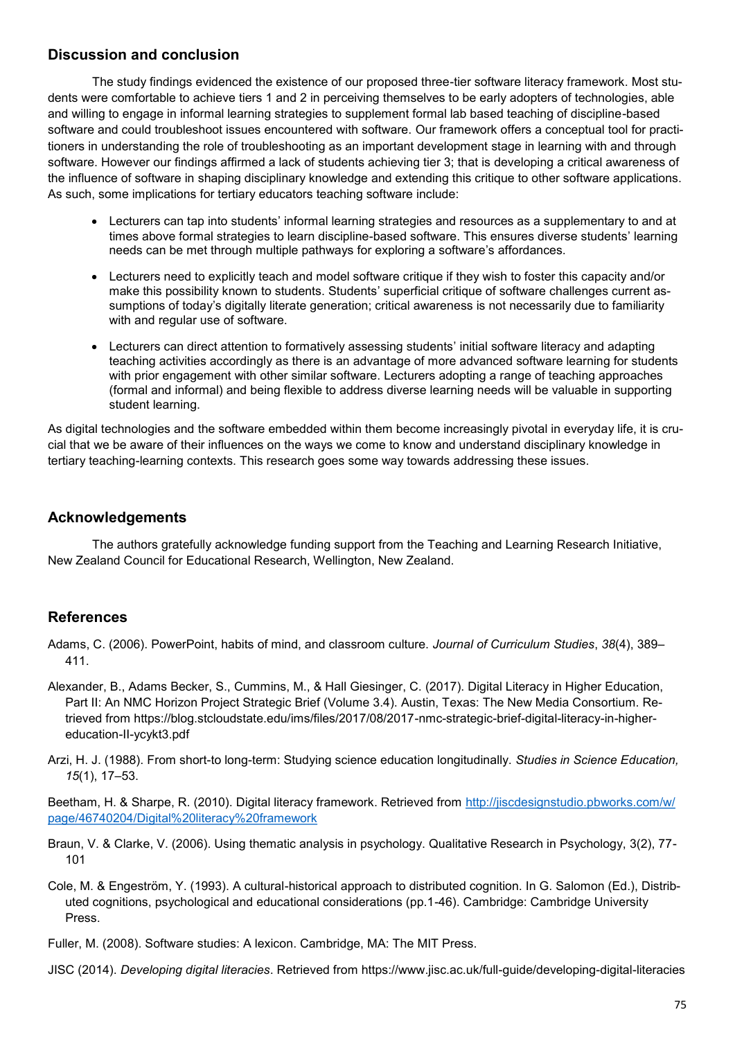### **Discussion and conclusion**

The study findings evidenced the existence of our proposed three-tier software literacy framework. Most students were comfortable to achieve tiers 1 and 2 in perceiving themselves to be early adopters of technologies, able and willing to engage in informal learning strategies to supplement formal lab based teaching of discipline-based software and could troubleshoot issues encountered with software. Our framework offers a conceptual tool for practitioners in understanding the role of troubleshooting as an important development stage in learning with and through software. However our findings affirmed a lack of students achieving tier 3; that is developing a critical awareness of the influence of software in shaping disciplinary knowledge and extending this critique to other software applications. As such, some implications for tertiary educators teaching software include:

- Lecturers can tap into students' informal learning strategies and resources as a supplementary to and at times above formal strategies to learn discipline-based software. This ensures diverse students' learning needs can be met through multiple pathways for exploring a software's affordances.
- Lecturers need to explicitly teach and model software critique if they wish to foster this capacity and/or make this possibility known to students. Students' superficial critique of software challenges current assumptions of today's digitally literate generation; critical awareness is not necessarily due to familiarity with and regular use of software.
- Lecturers can direct attention to formatively assessing students' initial software literacy and adapting teaching activities accordingly as there is an advantage of more advanced software learning for students with prior engagement with other similar software. Lecturers adopting a range of teaching approaches (formal and informal) and being flexible to address diverse learning needs will be valuable in supporting student learning.

As digital technologies and the software embedded within them become increasingly pivotal in everyday life, it is crucial that we be aware of their influences on the ways we come to know and understand disciplinary knowledge in tertiary teaching-learning contexts. This research goes some way towards addressing these issues.

### **Acknowledgements**

The authors gratefully acknowledge funding support from the Teaching and Learning Research Initiative, New Zealand Council for Educational Research, Wellington, New Zealand.

### **References**

Adams, C. (2006). PowerPoint, habits of mind, and classroom culture. *Journal of Curriculum Studies*, *38*(4), 389– 411.

- Alexander, B., Adams Becker, S., Cummins, M., & Hall Giesinger, C. (2017). Digital Literacy in Higher Education, Part II: An NMC Horizon Project Strategic Brief (Volume 3.4). Austin, Texas: The New Media Consortium. Retrieved from https://blog.stcloudstate.edu/ims/files/2017/08/2017-nmc-strategic-brief-digital-literacy-in-highereducation-II-ycykt3.pdf
- Arzi, H. J. (1988). From short-to long-term: Studying science education longitudinally. *Studies in Science Education, 15*(1), 17–53.

Beetham, H. & Sharpe, R. (2010). Digital literacy framework. Retrieved from http://jiscdesignstudio.pbworks.com/w/ page/46740204/Digital%20literacy%20framework

- Braun, V. & Clarke, V. (2006). Using thematic analysis in psychology. Qualitative Research in Psychology, 3(2), 77- 101
- Cole, M. & Engeström, Y. (1993). A cultural-historical approach to distributed cognition. In G. Salomon (Ed.), Distributed cognitions, psychological and educational considerations (pp.1-46). Cambridge: Cambridge University Press.

Fuller, M. (2008). Software studies: A lexicon. Cambridge, MA: The MIT Press.

JISC (2014). *Developing digital literacies*. Retrieved from https://www.jisc.ac.uk/full-guide/developing-digital-literacies